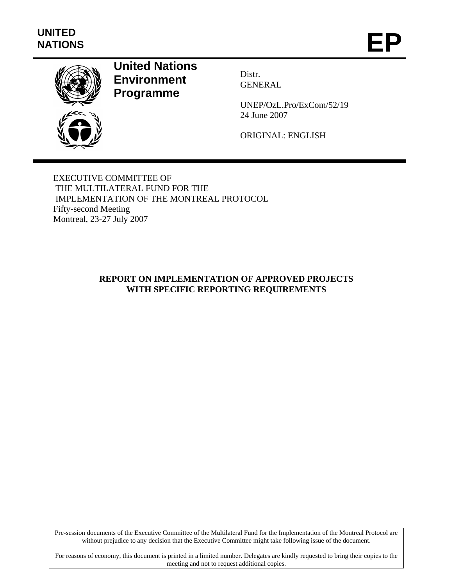

# **United Nations Environment Programme**

Distr. GENERAL

UNEP/OzL.Pro/ExCom/52/19 24 June 2007

ORIGINAL: ENGLISH

EXECUTIVE COMMITTEE OF THE MULTILATERAL FUND FOR THE IMPLEMENTATION OF THE MONTREAL PROTOCOL Fifty-second Meeting Montreal, 23-27 July 2007

# **REPORT ON IMPLEMENTATION OF APPROVED PROJECTS WITH SPECIFIC REPORTING REQUIREMENTS**

Pre-session documents of the Executive Committee of the Multilateral Fund for the Implementation of the Montreal Protocol are without prejudice to any decision that the Executive Committee might take following issue of the document.

For reasons of economy, this document is printed in a limited number. Delegates are kindly requested to bring their copies to the meeting and not to request additional copies.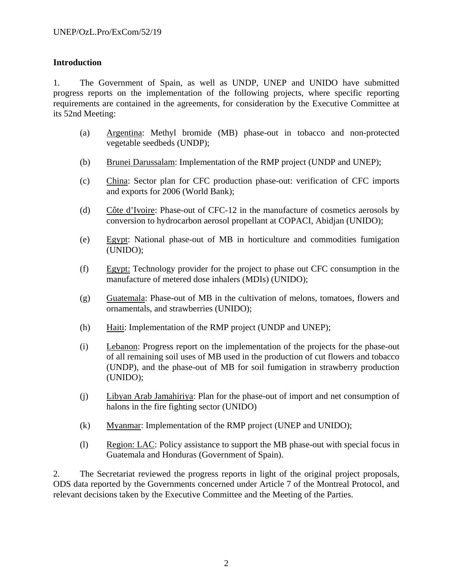### **Introduction**

1. The Government of Spain, as well as UNDP, UNEP and UNIDO have submitted progress reports on the implementation of the following projects, where specific reporting requirements are contained in the agreements, for consideration by the Executive Committee at its 52nd Meeting:

- (a) Argentina: Methyl bromide (MB) phase-out in tobacco and non-protected vegetable seedbeds (UNDP);
- (b) Brunei Darussalam: Implementation of the RMP project (UNDP and UNEP);
- (c) China: Sector plan for CFC production phase-out: verification of CFC imports and exports for 2006 (World Bank);
- (d) Côte d'Ivoire: Phase-out of CFC-12 in the manufacture of cosmetics aerosols by conversion to hydrocarbon aerosol propellant at COPACI, Abidjan (UNIDO);
- (e) Egypt: National phase-out of MB in horticulture and commodities fumigation (UNIDO);
- (f) Egypt: Technology provider for the project to phase out CFC consumption in the manufacture of metered dose inhalers (MDIs) (UNIDO);
- (g) Guatemala: Phase-out of MB in the cultivation of melons, tomatoes, flowers and ornamentals, and strawberries (UNIDO);
- (h)  $\quad$  Haiti: Implementation of the RMP project (UNDP and UNEP);
- (i) Lebanon: Progress report on the implementation of the projects for the phase-out of all remaining soil uses of MB used in the production of cut flowers and tobacco (UNDP), and the phase-out of MB for soil fumigation in strawberry production (UNIDO);
- (j) Libyan Arab Jamahiriya: Plan for the phase-out of import and net consumption of halons in the fire fighting sector (UNIDO)
- (k) Myanmar: Implementation of the RMP project (UNEP and UNIDO);
- (l) Region: LAC: Policy assistance to support the MB phase-out with special focus in Guatemala and Honduras (Government of Spain).

2. The Secretariat reviewed the progress reports in light of the original project proposals, ODS data reported by the Governments concerned under Article 7 of the Montreal Protocol, and relevant decisions taken by the Executive Committee and the Meeting of the Parties.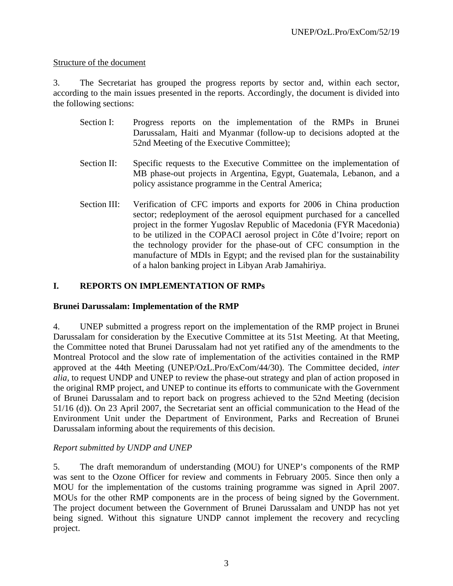### Structure of the document

3. The Secretariat has grouped the progress reports by sector and, within each sector, according to the main issues presented in the reports. Accordingly, the document is divided into the following sections:

- Section I: Progress reports on the implementation of the RMPs in Brunei Darussalam, Haiti and Myanmar (follow-up to decisions adopted at the 52nd Meeting of the Executive Committee);
- Section II: Specific requests to the Executive Committee on the implementation of MB phase-out projects in Argentina, Egypt, Guatemala, Lebanon, and a policy assistance programme in the Central America;
- Section III: Verification of CFC imports and exports for 2006 in China production sector; redeployment of the aerosol equipment purchased for a cancelled project in the former Yugoslav Republic of Macedonia (FYR Macedonia) to be utilized in the COPACI aerosol project in Côte d'Ivoire; report on the technology provider for the phase-out of CFC consumption in the manufacture of MDIs in Egypt; and the revised plan for the sustainability of a halon banking project in Libyan Arab Jamahiriya.

# **I. REPORTS ON IMPLEMENTATION OF RMPs**

## **Brunei Darussalam: Implementation of the RMP**

4. UNEP submitted a progress report on the implementation of the RMP project in Brunei Darussalam for consideration by the Executive Committee at its 51st Meeting. At that Meeting, the Committee noted that Brunei Darussalam had not yet ratified any of the amendments to the Montreal Protocol and the slow rate of implementation of the activities contained in the RMP approved at the 44th Meeting (UNEP/OzL.Pro/ExCom/44/30). The Committee decided, *inter alia,* to request UNDP and UNEP to review the phase-out strategy and plan of action proposed in the original RMP project, and UNEP to continue its efforts to communicate with the Government of Brunei Darussalam and to report back on progress achieved to the 52nd Meeting (decision 51/16 (d)). On 23 April 2007, the Secretariat sent an official communication to the Head of the Environment Unit under the Department of Environment, Parks and Recreation of Brunei Darussalam informing about the requirements of this decision.

## *Report submitted by UNDP and UNEP*

5. The draft memorandum of understanding (MOU) for UNEP's components of the RMP was sent to the Ozone Officer for review and comments in February 2005. Since then only a MOU for the implementation of the customs training programme was signed in April 2007. MOUs for the other RMP components are in the process of being signed by the Government. The project document between the Government of Brunei Darussalam and UNDP has not yet being signed. Without this signature UNDP cannot implement the recovery and recycling project.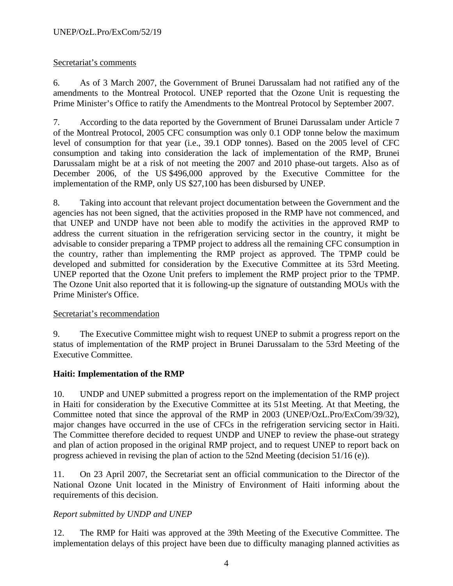## Secretariat's comments

6. As of 3 March 2007, the Government of Brunei Darussalam had not ratified any of the amendments to the Montreal Protocol. UNEP reported that the Ozone Unit is requesting the Prime Minister's Office to ratify the Amendments to the Montreal Protocol by September 2007.

7. According to the data reported by the Government of Brunei Darussalam under Article 7 of the Montreal Protocol, 2005 CFC consumption was only 0.1 ODP tonne below the maximum level of consumption for that year (i.e., 39.1 ODP tonnes). Based on the 2005 level of CFC consumption and taking into consideration the lack of implementation of the RMP, Brunei Darussalam might be at a risk of not meeting the 2007 and 2010 phase-out targets. Also as of December 2006, of the US \$496,000 approved by the Executive Committee for the implementation of the RMP, only US \$27,100 has been disbursed by UNEP.

8. Taking into account that relevant project documentation between the Government and the agencies has not been signed, that the activities proposed in the RMP have not commenced, and that UNEP and UNDP have not been able to modify the activities in the approved RMP to address the current situation in the refrigeration servicing sector in the country, it might be advisable to consider preparing a TPMP project to address all the remaining CFC consumption in the country, rather than implementing the RMP project as approved. The TPMP could be developed and submitted for consideration by the Executive Committee at its 53rd Meeting. UNEP reported that the Ozone Unit prefers to implement the RMP project prior to the TPMP. The Ozone Unit also reported that it is following-up the signature of outstanding MOUs with the Prime Minister's Office.

#### Secretariat's recommendation

9. The Executive Committee might wish to request UNEP to submit a progress report on the status of implementation of the RMP project in Brunei Darussalam to the 53rd Meeting of the Executive Committee.

## **Haiti: Implementation of the RMP**

10. UNDP and UNEP submitted a progress report on the implementation of the RMP project in Haiti for consideration by the Executive Committee at its 51st Meeting. At that Meeting, the Committee noted that since the approval of the RMP in 2003 (UNEP/OzL.Pro/ExCom/39/32), major changes have occurred in the use of CFCs in the refrigeration servicing sector in Haiti. The Committee therefore decided to request UNDP and UNEP to review the phase-out strategy and plan of action proposed in the original RMP project, and to request UNEP to report back on progress achieved in revising the plan of action to the 52nd Meeting (decision 51/16 (e)).

11. On 23 April 2007, the Secretariat sent an official communication to the Director of the National Ozone Unit located in the Ministry of Environment of Haiti informing about the requirements of this decision.

## *Report submitted by UNDP and UNEP*

12. The RMP for Haiti was approved at the 39th Meeting of the Executive Committee. The implementation delays of this project have been due to difficulty managing planned activities as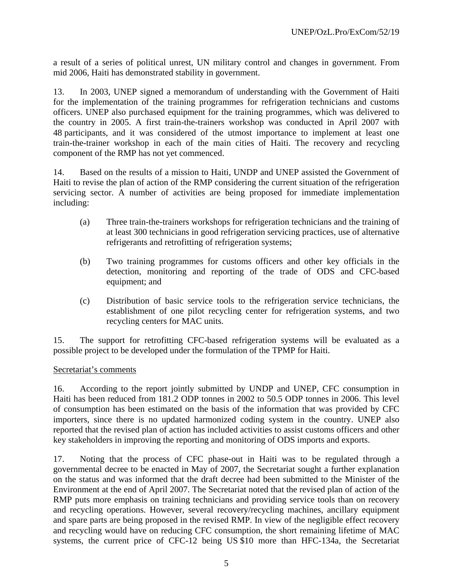a result of a series of political unrest, UN military control and changes in government. From mid 2006, Haiti has demonstrated stability in government.

13. In 2003, UNEP signed a memorandum of understanding with the Government of Haiti for the implementation of the training programmes for refrigeration technicians and customs officers. UNEP also purchased equipment for the training programmes, which was delivered to the country in 2005. A first train-the-trainers workshop was conducted in April 2007 with 48 participants, and it was considered of the utmost importance to implement at least one train-the-trainer workshop in each of the main cities of Haiti. The recovery and recycling component of the RMP has not yet commenced.

14. Based on the results of a mission to Haiti, UNDP and UNEP assisted the Government of Haiti to revise the plan of action of the RMP considering the current situation of the refrigeration servicing sector. A number of activities are being proposed for immediate implementation including:

- (a) Three train-the-trainers workshops for refrigeration technicians and the training of at least 300 technicians in good refrigeration servicing practices, use of alternative refrigerants and retrofitting of refrigeration systems;
- (b) Two training programmes for customs officers and other key officials in the detection, monitoring and reporting of the trade of ODS and CFC-based equipment; and
- (c) Distribution of basic service tools to the refrigeration service technicians, the establishment of one pilot recycling center for refrigeration systems, and two recycling centers for MAC units.

15. The support for retrofitting CFC-based refrigeration systems will be evaluated as a possible project to be developed under the formulation of the TPMP for Haiti.

#### Secretariat's comments

16. According to the report jointly submitted by UNDP and UNEP, CFC consumption in Haiti has been reduced from 181.2 ODP tonnes in 2002 to 50.5 ODP tonnes in 2006. This level of consumption has been estimated on the basis of the information that was provided by CFC importers, since there is no updated harmonized coding system in the country. UNEP also reported that the revised plan of action has included activities to assist customs officers and other key stakeholders in improving the reporting and monitoring of ODS imports and exports.

17. Noting that the process of CFC phase-out in Haiti was to be regulated through a governmental decree to be enacted in May of 2007, the Secretariat sought a further explanation on the status and was informed that the draft decree had been submitted to the Minister of the Environment at the end of April 2007. The Secretariat noted that the revised plan of action of the RMP puts more emphasis on training technicians and providing service tools than on recovery and recycling operations. However, several recovery/recycling machines, ancillary equipment and spare parts are being proposed in the revised RMP. In view of the negligible effect recovery and recycling would have on reducing CFC consumption, the short remaining lifetime of MAC systems, the current price of CFC-12 being US \$10 more than HFC-134a, the Secretariat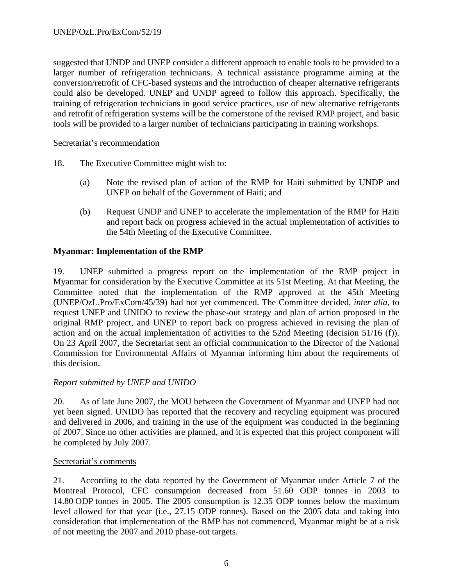suggested that UNDP and UNEP consider a different approach to enable tools to be provided to a larger number of refrigeration technicians. A technical assistance programme aiming at the conversion/retrofit of CFC-based systems and the introduction of cheaper alternative refrigerants could also be developed. UNEP and UNDP agreed to follow this approach. Specifically, the training of refrigeration technicians in good service practices, use of new alternative refrigerants and retrofit of refrigeration systems will be the cornerstone of the revised RMP project, and basic tools will be provided to a larger number of technicians participating in training workshops.

#### Secretariat's recommendation

- 18. The Executive Committee might wish to:
	- (a) Note the revised plan of action of the RMP for Haiti submitted by UNDP and UNEP on behalf of the Government of Haiti; and
	- (b) Request UNDP and UNEP to accelerate the implementation of the RMP for Haiti and report back on progress achieved in the actual implementation of activities to the 54th Meeting of the Executive Committee.

### **Myanmar: Implementation of the RMP**

19. UNEP submitted a progress report on the implementation of the RMP project in Myanmar for consideration by the Executive Committee at its 51st Meeting. At that Meeting, the Committee noted that the implementation of the RMP approved at the 45th Meeting (UNEP/OzL.Pro/ExCom/45/39) had not yet commenced. The Committee decided, *inter alia,* to request UNEP and UNIDO to review the phase-out strategy and plan of action proposed in the original RMP project, and UNEP to report back on progress achieved in revising the plan of action and on the actual implementation of activities to the 52nd Meeting (decision 51/16 (f)). On 23 April 2007, the Secretariat sent an official communication to the Director of the National Commission for Environmental Affairs of Myanmar informing him about the requirements of this decision.

## *Report submitted by UNEP and UNIDO*

20. As of late June 2007, the MOU between the Government of Myanmar and UNEP had not yet been signed. UNIDO has reported that the recovery and recycling equipment was procured and delivered in 2006, and training in the use of the equipment was conducted in the beginning of 2007. Since no other activities are planned, and it is expected that this project component will be completed by July 2007.

#### Secretariat's comments

21. According to the data reported by the Government of Myanmar under Article 7 of the Montreal Protocol, CFC consumption decreased from 51.60 ODP tonnes in 2003 to 14.80 ODP tonnes in 2005. The 2005 consumption is 12.35 ODP tonnes below the maximum level allowed for that year (i.e., 27.15 ODP tonnes). Based on the 2005 data and taking into consideration that implementation of the RMP has not commenced, Myanmar might be at a risk of not meeting the 2007 and 2010 phase-out targets.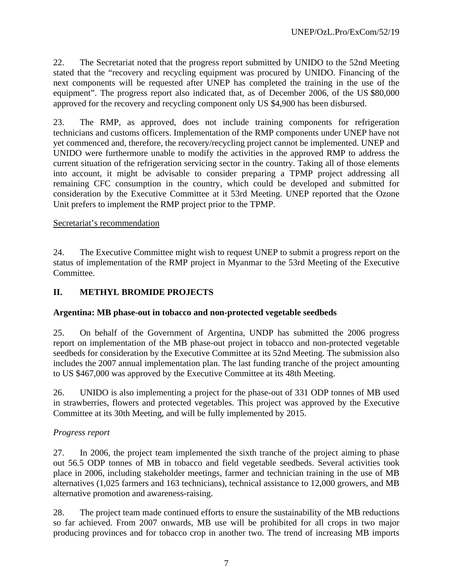22. The Secretariat noted that the progress report submitted by UNIDO to the 52nd Meeting stated that the "recovery and recycling equipment was procured by UNIDO. Financing of the next components will be requested after UNEP has completed the training in the use of the equipment". The progress report also indicated that, as of December 2006, of the US \$80,000 approved for the recovery and recycling component only US \$4,900 has been disbursed.

23. The RMP, as approved, does not include training components for refrigeration technicians and customs officers. Implementation of the RMP components under UNEP have not yet commenced and, therefore, the recovery/recycling project cannot be implemented. UNEP and UNIDO were furthermore unable to modify the activities in the approved RMP to address the current situation of the refrigeration servicing sector in the country. Taking all of those elements into account, it might be advisable to consider preparing a TPMP project addressing all remaining CFC consumption in the country, which could be developed and submitted for consideration by the Executive Committee at it 53rd Meeting. UNEP reported that the Ozone Unit prefers to implement the RMP project prior to the TPMP.

### Secretariat's recommendation

24. The Executive Committee might wish to request UNEP to submit a progress report on the status of implementation of the RMP project in Myanmar to the 53rd Meeting of the Executive Committee.

# **II. METHYL BROMIDE PROJECTS**

## **Argentina: MB phase-out in tobacco and non-protected vegetable seedbeds**

25. On behalf of the Government of Argentina, UNDP has submitted the 2006 progress report on implementation of the MB phase-out project in tobacco and non-protected vegetable seedbeds for consideration by the Executive Committee at its 52nd Meeting. The submission also includes the 2007 annual implementation plan. The last funding tranche of the project amounting to US \$467,000 was approved by the Executive Committee at its 48th Meeting.

26. UNIDO is also implementing a project for the phase-out of 331 ODP tonnes of MB used in strawberries, flowers and protected vegetables. This project was approved by the Executive Committee at its 30th Meeting, and will be fully implemented by 2015.

## *Progress report*

27. In 2006, the project team implemented the sixth tranche of the project aiming to phase out 56.5 ODP tonnes of MB in tobacco and field vegetable seedbeds. Several activities took place in 2006, including stakeholder meetings, farmer and technician training in the use of MB alternatives (1,025 farmers and 163 technicians), technical assistance to 12,000 growers, and MB alternative promotion and awareness-raising.

28. The project team made continued efforts to ensure the sustainability of the MB reductions so far achieved. From 2007 onwards, MB use will be prohibited for all crops in two major producing provinces and for tobacco crop in another two. The trend of increasing MB imports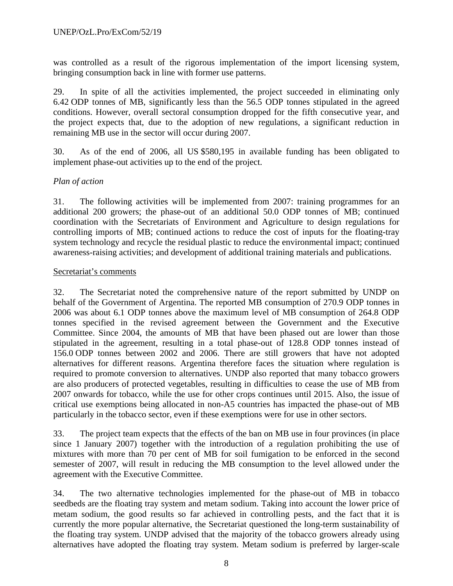was controlled as a result of the rigorous implementation of the import licensing system, bringing consumption back in line with former use patterns.

29. In spite of all the activities implemented, the project succeeded in eliminating only 6.42 ODP tonnes of MB, significantly less than the 56.5 ODP tonnes stipulated in the agreed conditions. However, overall sectoral consumption dropped for the fifth consecutive year, and the project expects that, due to the adoption of new regulations, a significant reduction in remaining MB use in the sector will occur during 2007.

30. As of the end of 2006, all US \$580,195 in available funding has been obligated to implement phase-out activities up to the end of the project.

### *Plan of action*

31. The following activities will be implemented from 2007: training programmes for an additional 200 growers; the phase-out of an additional 50.0 ODP tonnes of MB; continued coordination with the Secretariats of Environment and Agriculture to design regulations for controlling imports of MB; continued actions to reduce the cost of inputs for the floating-tray system technology and recycle the residual plastic to reduce the environmental impact; continued awareness-raising activities; and development of additional training materials and publications.

#### Secretariat's comments

32. The Secretariat noted the comprehensive nature of the report submitted by UNDP on behalf of the Government of Argentina. The reported MB consumption of 270.9 ODP tonnes in 2006 was about 6.1 ODP tonnes above the maximum level of MB consumption of 264.8 ODP tonnes specified in the revised agreement between the Government and the Executive Committee. Since 2004, the amounts of MB that have been phased out are lower than those stipulated in the agreement, resulting in a total phase-out of 128.8 ODP tonnes instead of 156.0 ODP tonnes between 2002 and 2006. There are still growers that have not adopted alternatives for different reasons. Argentina therefore faces the situation where regulation is required to promote conversion to alternatives. UNDP also reported that many tobacco growers are also producers of protected vegetables, resulting in difficulties to cease the use of MB from 2007 onwards for tobacco, while the use for other crops continues until 2015. Also, the issue of critical use exemptions being allocated in non-A5 countries has impacted the phase-out of MB particularly in the tobacco sector, even if these exemptions were for use in other sectors.

33. The project team expects that the effects of the ban on MB use in four provinces (in place since 1 January 2007) together with the introduction of a regulation prohibiting the use of mixtures with more than 70 per cent of MB for soil fumigation to be enforced in the second semester of 2007, will result in reducing the MB consumption to the level allowed under the agreement with the Executive Committee.

34. The two alternative technologies implemented for the phase-out of MB in tobacco seedbeds are the floating tray system and metam sodium. Taking into account the lower price of metam sodium, the good results so far achieved in controlling pests, and the fact that it is currently the more popular alternative, the Secretariat questioned the long-term sustainability of the floating tray system. UNDP advised that the majority of the tobacco growers already using alternatives have adopted the floating tray system. Metam sodium is preferred by larger-scale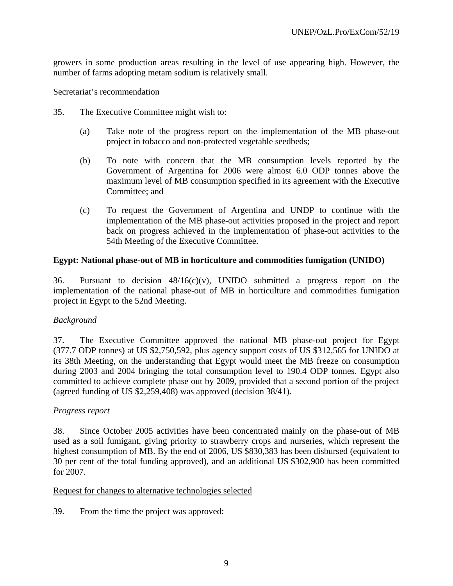growers in some production areas resulting in the level of use appearing high. However, the number of farms adopting metam sodium is relatively small.

#### Secretariat's recommendation

- 35. The Executive Committee might wish to:
	- (a) Take note of the progress report on the implementation of the MB phase-out project in tobacco and non-protected vegetable seedbeds;
	- (b) To note with concern that the MB consumption levels reported by the Government of Argentina for 2006 were almost 6.0 ODP tonnes above the maximum level of MB consumption specified in its agreement with the Executive Committee; and
	- (c) To request the Government of Argentina and UNDP to continue with the implementation of the MB phase-out activities proposed in the project and report back on progress achieved in the implementation of phase-out activities to the 54th Meeting of the Executive Committee.

#### **Egypt: National phase-out of MB in horticulture and commodities fumigation (UNIDO)**

36. Pursuant to decision  $48/16(c)(v)$ , UNIDO submitted a progress report on the implementation of the national phase-out of MB in horticulture and commodities fumigation project in Egypt to the 52nd Meeting.

#### *Background*

37. The Executive Committee approved the national MB phase-out project for Egypt (377.7 ODP tonnes) at US \$2,750,592, plus agency support costs of US \$312,565 for UNIDO at its 38th Meeting, on the understanding that Egypt would meet the MB freeze on consumption during 2003 and 2004 bringing the total consumption level to 190.4 ODP tonnes. Egypt also committed to achieve complete phase out by 2009, provided that a second portion of the project (agreed funding of US \$2,259,408) was approved (decision 38/41).

#### *Progress report*

38. Since October 2005 activities have been concentrated mainly on the phase-out of MB used as a soil fumigant, giving priority to strawberry crops and nurseries, which represent the highest consumption of MB. By the end of 2006, US \$830,383 has been disbursed (equivalent to 30 per cent of the total funding approved), and an additional US \$302,900 has been committed for 2007.

#### Request for changes to alternative technologies selected

39. From the time the project was approved: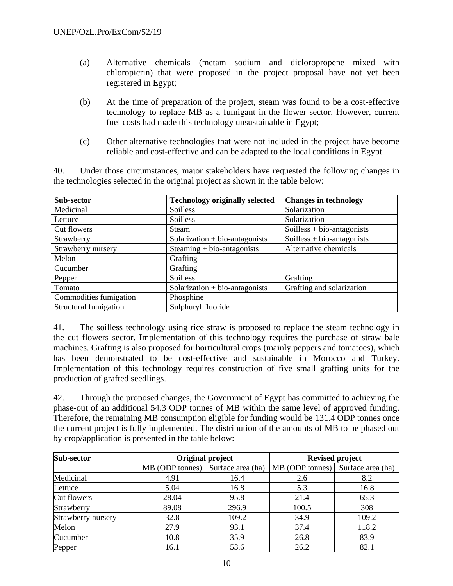- (a) Alternative chemicals (metam sodium and dicloropropene mixed with chloropicrin) that were proposed in the project proposal have not yet been registered in Egypt;
- (b) At the time of preparation of the project, steam was found to be a cost-effective technology to replace MB as a fumigant in the flower sector. However, current fuel costs had made this technology unsustainable in Egypt;
- (c) Other alternative technologies that were not included in the project have become reliable and cost-effective and can be adapted to the local conditions in Egypt.

40. Under those circumstances, major stakeholders have requested the following changes in the technologies selected in the original project as shown in the table below:

| Sub-sector             | <b>Technology originally selected</b> | <b>Changes in technology</b> |
|------------------------|---------------------------------------|------------------------------|
| Medicinal              | Soilless                              | Solarization                 |
| Lettuce                | Soilless                              | Solarization                 |
| Cut flowers            | <b>Steam</b>                          | $Soilless + bio-antagonists$ |
| Strawberry             | Solarization $+$ bio-antagonists      | Soilless $+$ bio-antagonists |
| Strawberry nursery     | Steaming $+$ bio-antagonists          | Alternative chemicals        |
| Melon                  | Grafting                              |                              |
| Cucumber               | Grafting                              |                              |
| Pepper                 | Soilless                              | Grafting                     |
| Tomato                 | $Solarization + bio-antagonists$      | Grafting and solarization    |
| Commodities fumigation | Phosphine                             |                              |
| Structural fumigation  | Sulphuryl fluoride                    |                              |

41. The soilless technology using rice straw is proposed to replace the steam technology in the cut flowers sector. Implementation of this technology requires the purchase of straw bale machines. Grafting is also proposed for horticultural crops (mainly peppers and tomatoes), which has been demonstrated to be cost-effective and sustainable in Morocco and Turkey. Implementation of this technology requires construction of five small grafting units for the production of grafted seedlings.

42. Through the proposed changes, the Government of Egypt has committed to achieving the phase-out of an additional 54.3 ODP tonnes of MB within the same level of approved funding. Therefore, the remaining MB consumption eligible for funding would be 131.4 ODP tonnes once the current project is fully implemented. The distribution of the amounts of MB to be phased out by crop/application is presented in the table below:

| Sub-sector         |                 | Original project  | <b>Revised project</b> |                   |  |
|--------------------|-----------------|-------------------|------------------------|-------------------|--|
|                    | MB (ODP tonnes) | Surface area (ha) | $MB$ (ODP tonnes)      | Surface area (ha) |  |
| Medicinal          | 4.91            | 16.4              | 2.6                    | 8.2               |  |
| Lettuce            | 5.04            | 16.8              | 5.3                    | 16.8              |  |
| Cut flowers        | 28.04           | 95.8              | 21.4                   | 65.3              |  |
| Strawberry         | 89.08           | 296.9             | 100.5                  | 308               |  |
| Strawberry nursery | 32.8            | 109.2             | 34.9                   | 109.2             |  |
| Melon              | 27.9            | 93.1              | 37.4                   | 118.2             |  |
| Cucumber           | 10.8            | 35.9              | 26.8                   | 83.9              |  |
| Pepper             | 16.1            | 53.6              | 26.2                   | 82.1              |  |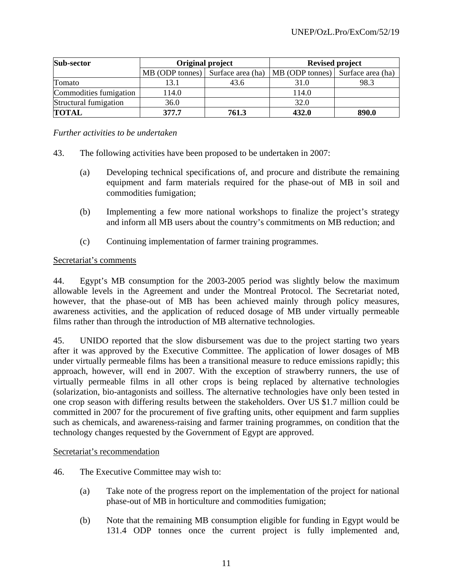| Sub-sector             | Original project                     |       | <b>Revised project</b> |                   |  |
|------------------------|--------------------------------------|-------|------------------------|-------------------|--|
|                        | MB (ODP tonnes)<br>Surface area (ha) |       | MB (ODP tonnes)        | Surface area (ha) |  |
| Tomato                 | 13.1                                 | 43.6  | 31.0                   | 98.3              |  |
| Commodities fumigation | 114.0                                |       | 114.0                  |                   |  |
| Structural fumigation  | 36.0                                 |       | 32.0                   |                   |  |
| <b>TOTAL</b>           | 377.7                                | 761.3 | 432.0                  | 890.0             |  |

*Further activities to be undertaken* 

- 43. The following activities have been proposed to be undertaken in 2007:
	- (a) Developing technical specifications of, and procure and distribute the remaining equipment and farm materials required for the phase-out of MB in soil and commodities fumigation;
	- (b) Implementing a few more national workshops to finalize the project's strategy and inform all MB users about the country's commitments on MB reduction; and
	- (c) Continuing implementation of farmer training programmes.

#### Secretariat's comments

44. Egypt's MB consumption for the 2003-2005 period was slightly below the maximum allowable levels in the Agreement and under the Montreal Protocol. The Secretariat noted, however, that the phase-out of MB has been achieved mainly through policy measures, awareness activities, and the application of reduced dosage of MB under virtually permeable films rather than through the introduction of MB alternative technologies.

45. UNIDO reported that the slow disbursement was due to the project starting two years after it was approved by the Executive Committee. The application of lower dosages of MB under virtually permeable films has been a transitional measure to reduce emissions rapidly; this approach, however, will end in 2007. With the exception of strawberry runners, the use of virtually permeable films in all other crops is being replaced by alternative technologies (solarization, bio-antagonists and soilless. The alternative technologies have only been tested in one crop season with differing results between the stakeholders. Over US \$1.7 million could be committed in 2007 for the procurement of five grafting units, other equipment and farm supplies such as chemicals, and awareness-raising and farmer training programmes, on condition that the technology changes requested by the Government of Egypt are approved.

#### Secretariat's recommendation

- 46. The Executive Committee may wish to:
	- (a) Take note of the progress report on the implementation of the project for national phase-out of MB in horticulture and commodities fumigation;
	- (b) Note that the remaining MB consumption eligible for funding in Egypt would be 131.4 ODP tonnes once the current project is fully implemented and,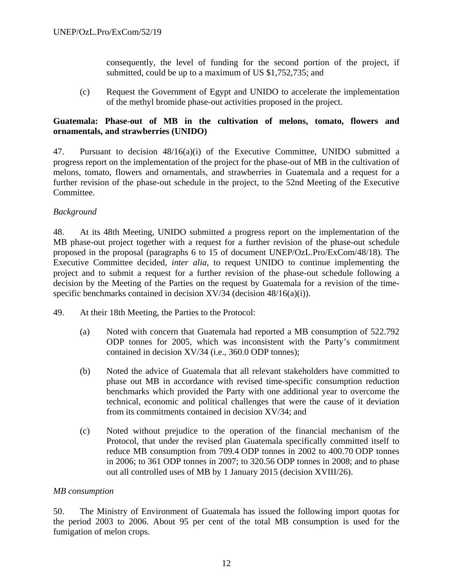consequently, the level of funding for the second portion of the project, if submitted, could be up to a maximum of US \$1,752,735; and

(c) Request the Government of Egypt and UNIDO to accelerate the implementation of the methyl bromide phase-out activities proposed in the project.

#### **Guatemala: Phase-out of MB in the cultivation of melons, tomato, flowers and ornamentals, and strawberries (UNIDO)**

47. Pursuant to decision 48/16(a)(i) of the Executive Committee, UNIDO submitted a progress report on the implementation of the project for the phase-out of MB in the cultivation of melons, tomato, flowers and ornamentals, and strawberries in Guatemala and a request for a further revision of the phase-out schedule in the project, to the 52nd Meeting of the Executive Committee.

#### *Background*

48. At its 48th Meeting, UNIDO submitted a progress report on the implementation of the MB phase-out project together with a request for a further revision of the phase-out schedule proposed in the proposal (paragraphs 6 to 15 of document UNEP/OzL.Pro/ExCom/48/18). The Executive Committee decided, *inter alia,* to request UNIDO to continue implementing the project and to submit a request for a further revision of the phase-out schedule following a decision by the Meeting of the Parties on the request by Guatemala for a revision of the timespecific benchmarks contained in decision XV/34 (decision 48/16(a)(i)).

- 49. At their 18th Meeting, the Parties to the Protocol:
	- (a) Noted with concern that Guatemala had reported a MB consumption of 522.792 ODP tonnes for 2005, which was inconsistent with the Party's commitment contained in decision XV/34 (i.e., 360.0 ODP tonnes);
	- (b) Noted the advice of Guatemala that all relevant stakeholders have committed to phase out MB in accordance with revised time-specific consumption reduction benchmarks which provided the Party with one additional year to overcome the technical, economic and political challenges that were the cause of it deviation from its commitments contained in decision XV/34; and
	- (c) Noted without prejudice to the operation of the financial mechanism of the Protocol, that under the revised plan Guatemala specifically committed itself to reduce MB consumption from 709.4 ODP tonnes in 2002 to 400.70 ODP tonnes in 2006; to 361 ODP tonnes in 2007; to 320.56 ODP tonnes in 2008; and to phase out all controlled uses of MB by 1 January 2015 (decision XVIII/26).

#### *MB consumption*

50. The Ministry of Environment of Guatemala has issued the following import quotas for the period 2003 to 2006. About 95 per cent of the total MB consumption is used for the fumigation of melon crops.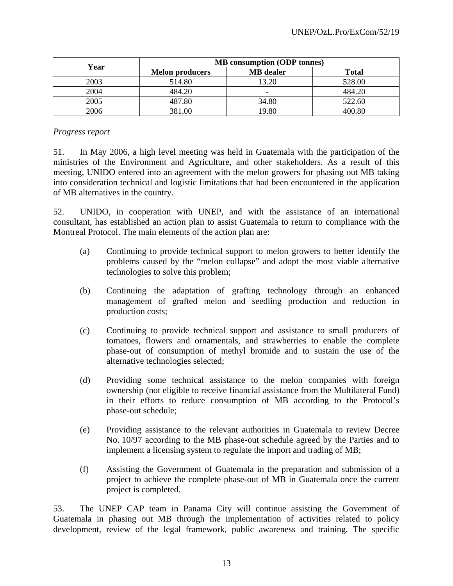| Year | <b>MB</b> consumption (ODP tonnes) |                          |              |  |  |
|------|------------------------------------|--------------------------|--------------|--|--|
|      | <b>Melon producers</b>             | <b>MB</b> dealer         | <b>Total</b> |  |  |
| 2003 | 514.80                             | 13.20                    | 528.00       |  |  |
| 2004 | 484.20                             | $\overline{\phantom{0}}$ | 484.20       |  |  |
| 2005 | 487.80                             | 34.80                    | 522.60       |  |  |
| 2006 | 381.00                             | 19.80                    | 400.80       |  |  |

### *Progress report*

51. In May 2006, a high level meeting was held in Guatemala with the participation of the ministries of the Environment and Agriculture, and other stakeholders. As a result of this meeting, UNIDO entered into an agreement with the melon growers for phasing out MB taking into consideration technical and logistic limitations that had been encountered in the application of MB alternatives in the country.

52. UNIDO, in cooperation with UNEP, and with the assistance of an international consultant, has established an action plan to assist Guatemala to return to compliance with the Montreal Protocol. The main elements of the action plan are:

- (a) Continuing to provide technical support to melon growers to better identify the problems caused by the "melon collapse" and adopt the most viable alternative technologies to solve this problem;
- (b) Continuing the adaptation of grafting technology through an enhanced management of grafted melon and seedling production and reduction in production costs;
- (c) Continuing to provide technical support and assistance to small producers of tomatoes, flowers and ornamentals, and strawberries to enable the complete phase-out of consumption of methyl bromide and to sustain the use of the alternative technologies selected;
- (d) Providing some technical assistance to the melon companies with foreign ownership (not eligible to receive financial assistance from the Multilateral Fund) in their efforts to reduce consumption of MB according to the Protocol's phase-out schedule;
- (e) Providing assistance to the relevant authorities in Guatemala to review Decree No. 10/97 according to the MB phase-out schedule agreed by the Parties and to implement a licensing system to regulate the import and trading of MB;
- (f) Assisting the Government of Guatemala in the preparation and submission of a project to achieve the complete phase-out of MB in Guatemala once the current project is completed.

53. The UNEP CAP team in Panama City will continue assisting the Government of Guatemala in phasing out MB through the implementation of activities related to policy development, review of the legal framework, public awareness and training. The specific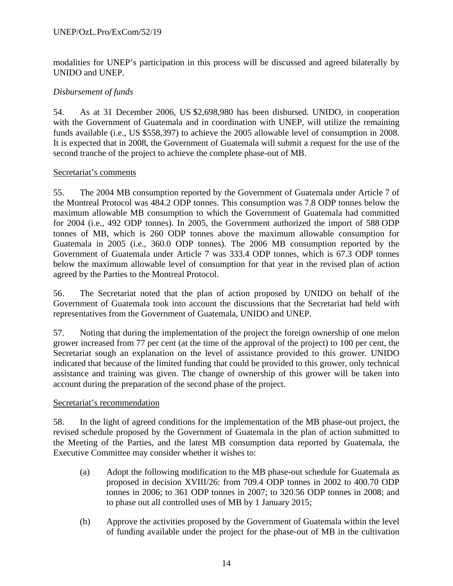### UNEP/OzL.Pro/ExCom/52/19

modalities for UNEP's participation in this process will be discussed and agreed bilaterally by UNIDO and UNEP.

### *Disbursement of funds*

54. As at 31 December 2006, US \$2,698,980 has been disbursed. UNIDO, in cooperation with the Government of Guatemala and in coordination with UNEP, will utilize the remaining funds available (i.e., US \$558,397) to achieve the 2005 allowable level of consumption in 2008. It is expected that in 2008, the Government of Guatemala will submit a request for the use of the second tranche of the project to achieve the complete phase-out of MB.

#### Secretariat's comments

55. The 2004 MB consumption reported by the Government of Guatemala under Article 7 of the Montreal Protocol was 484.2 ODP tonnes. This consumption was 7.8 ODP tonnes below the maximum allowable MB consumption to which the Government of Guatemala had committed for 2004 (i.e., 492 ODP tonnes). In 2005, the Government authorized the import of 588 ODP tonnes of MB, which is 260 ODP tonnes above the maximum allowable consumption for Guatemala in 2005 (i.e., 360.0 ODP tonnes). The 2006 MB consumption reported by the Government of Guatemala under Article 7 was 333.4 ODP tonnes, which is 67.3 ODP tonnes below the maximum allowable level of consumption for that year in the revised plan of action agreed by the Parties to the Montreal Protocol.

56. The Secretariat noted that the plan of action proposed by UNIDO on behalf of the Government of Guatemala took into account the discussions that the Secretariat had held with representatives from the Government of Guatemala, UNIDO and UNEP.

57. Noting that during the implementation of the project the foreign ownership of one melon grower increased from 77 per cent (at the time of the approval of the project) to 100 per cent, the Secretariat sough an explanation on the level of assistance provided to this grower. UNIDO indicated that because of the limited funding that could be provided to this grower, only technical assistance and training was given. The change of ownership of this grower will be taken into account during the preparation of the second phase of the project.

#### Secretariat's recommendation

58. In the light of agreed conditions for the implementation of the MB phase-out project, the revised schedule proposed by the Government of Guatemala in the plan of action submitted to the Meeting of the Parties, and the latest MB consumption data reported by Guatemala, the Executive Committee may consider whether it wishes to:

- (a) Adopt the following modification to the MB phase-out schedule for Guatemala as proposed in decision XVIII/26: from 709.4 ODP tonnes in 2002 to 400.70 ODP tonnes in 2006; to 361 ODP tonnes in 2007; to 320.56 ODP tonnes in 2008; and to phase out all controlled uses of MB by 1 January 2015;
- (b) Approve the activities proposed by the Government of Guatemala within the level of funding available under the project for the phase-out of MB in the cultivation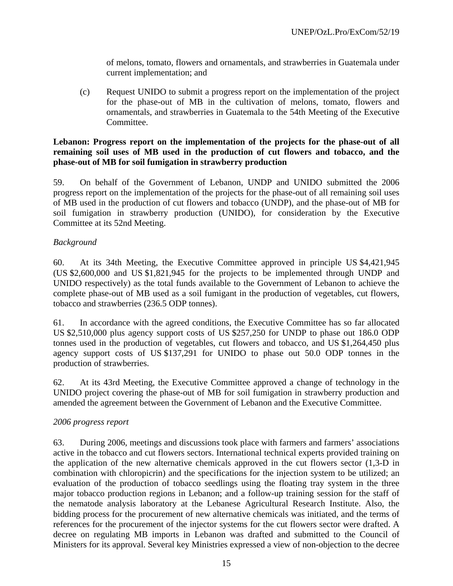of melons, tomato, flowers and ornamentals, and strawberries in Guatemala under current implementation; and

(c) Request UNIDO to submit a progress report on the implementation of the project for the phase-out of MB in the cultivation of melons, tomato, flowers and ornamentals, and strawberries in Guatemala to the 54th Meeting of the Executive Committee.

### **Lebanon: Progress report on the implementation of the projects for the phase-out of all remaining soil uses of MB used in the production of cut flowers and tobacco, and the phase-out of MB for soil fumigation in strawberry production**

59. On behalf of the Government of Lebanon, UNDP and UNIDO submitted the 2006 progress report on the implementation of the projects for the phase-out of all remaining soil uses of MB used in the production of cut flowers and tobacco (UNDP), and the phase-out of MB for soil fumigation in strawberry production (UNIDO), for consideration by the Executive Committee at its 52nd Meeting.

## *Background*

60. At its 34th Meeting, the Executive Committee approved in principle US \$4,421,945 (US \$2,600,000 and US \$1,821,945 for the projects to be implemented through UNDP and UNIDO respectively) as the total funds available to the Government of Lebanon to achieve the complete phase-out of MB used as a soil fumigant in the production of vegetables, cut flowers, tobacco and strawberries (236.5 ODP tonnes).

61. In accordance with the agreed conditions, the Executive Committee has so far allocated US \$2,510,000 plus agency support costs of US \$257,250 for UNDP to phase out 186.0 ODP tonnes used in the production of vegetables, cut flowers and tobacco, and US \$1,264,450 plus agency support costs of US \$137,291 for UNIDO to phase out 50.0 ODP tonnes in the production of strawberries.

62. At its 43rd Meeting, the Executive Committee approved a change of technology in the UNIDO project covering the phase-out of MB for soil fumigation in strawberry production and amended the agreement between the Government of Lebanon and the Executive Committee.

## *2006 progress report*

63. During 2006, meetings and discussions took place with farmers and farmers' associations active in the tobacco and cut flowers sectors. International technical experts provided training on the application of the new alternative chemicals approved in the cut flowers sector (1,3-D in combination with chloropicrin) and the specifications for the injection system to be utilized; an evaluation of the production of tobacco seedlings using the floating tray system in the three major tobacco production regions in Lebanon; and a follow-up training session for the staff of the nematode analysis laboratory at the Lebanese Agricultural Research Institute. Also, the bidding process for the procurement of new alternative chemicals was initiated, and the terms of references for the procurement of the injector systems for the cut flowers sector were drafted. A decree on regulating MB imports in Lebanon was drafted and submitted to the Council of Ministers for its approval. Several key Ministries expressed a view of non-objection to the decree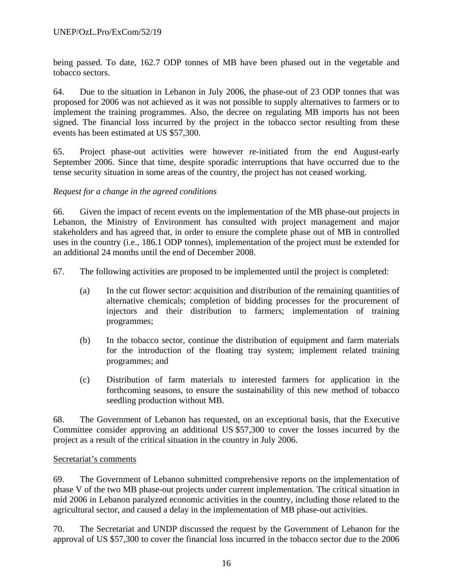being passed. To date, 162.7 ODP tonnes of MB have been phased out in the vegetable and tobacco sectors.

64. Due to the situation in Lebanon in July 2006, the phase-out of 23 ODP tonnes that was proposed for 2006 was not achieved as it was not possible to supply alternatives to farmers or to implement the training programmes. Also, the decree on regulating MB imports has not been signed. The financial loss incurred by the project in the tobacco sector resulting from these events has been estimated at US \$57,300.

65. Project phase-out activities were however re-initiated from the end August-early September 2006. Since that time, despite sporadic interruptions that have occurred due to the tense security situation in some areas of the country, the project has not ceased working.

### *Request for a change in the agreed conditions*

66. Given the impact of recent events on the implementation of the MB phase-out projects in Lebanon, the Ministry of Environment has consulted with project management and major stakeholders and has agreed that, in order to ensure the complete phase out of MB in controlled uses in the country (i.e., 186.1 ODP tonnes), implementation of the project must be extended for an additional 24 months until the end of December 2008.

67. The following activities are proposed to be implemented until the project is completed:

- (a) In the cut flower sector: acquisition and distribution of the remaining quantities of alternative chemicals; completion of bidding processes for the procurement of injectors and their distribution to farmers; implementation of training programmes;
- (b) In the tobacco sector, continue the distribution of equipment and farm materials for the introduction of the floating tray system; implement related training programmes; and
- (c) Distribution of farm materials to interested farmers for application in the forthcoming seasons, to ensure the sustainability of this new method of tobacco seedling production without MB.

68. The Government of Lebanon has requested, on an exceptional basis, that the Executive Committee consider approving an additional US \$57,300 to cover the losses incurred by the project as a result of the critical situation in the country in July 2006.

#### Secretariat's comments

69. The Government of Lebanon submitted comprehensive reports on the implementation of phase V of the two MB phase-out projects under current implementation. The critical situation in mid 2006 in Lebanon paralyzed economic activities in the country, including those related to the agricultural sector, and caused a delay in the implementation of MB phase-out activities.

70. The Secretariat and UNDP discussed the request by the Government of Lebanon for the approval of US \$57,300 to cover the financial loss incurred in the tobacco sector due to the 2006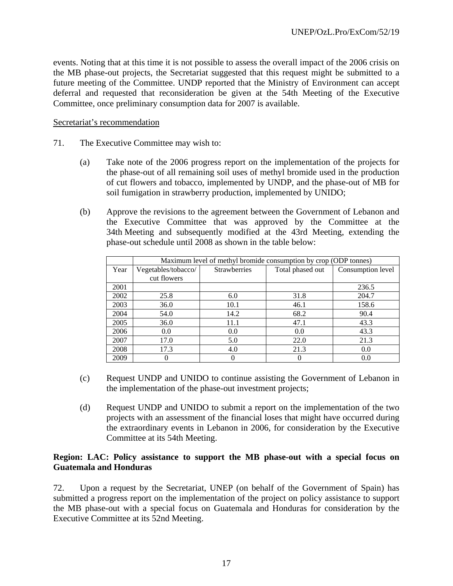events. Noting that at this time it is not possible to assess the overall impact of the 2006 crisis on the MB phase-out projects, the Secretariat suggested that this request might be submitted to a future meeting of the Committee. UNDP reported that the Ministry of Environment can accept deferral and requested that reconsideration be given at the 54th Meeting of the Executive Committee, once preliminary consumption data for 2007 is available.

#### Secretariat's recommendation

- 71. The Executive Committee may wish to:
	- (a) Take note of the 2006 progress report on the implementation of the projects for the phase-out of all remaining soil uses of methyl bromide used in the production of cut flowers and tobacco, implemented by UNDP, and the phase-out of MB for soil fumigation in strawberry production, implemented by UNIDO;
	- (b) Approve the revisions to the agreement between the Government of Lebanon and the Executive Committee that was approved by the Committee at the 34th Meeting and subsequently modified at the 43rd Meeting, extending the phase-out schedule until 2008 as shown in the table below:

|      | Maximum level of methyl bromide consumption by crop (ODP tonnes) |                     |                  |                   |  |  |  |  |
|------|------------------------------------------------------------------|---------------------|------------------|-------------------|--|--|--|--|
| Year | Vegetables/tobacco/                                              | <b>Strawberries</b> | Total phased out | Consumption level |  |  |  |  |
|      | cut flowers                                                      |                     |                  |                   |  |  |  |  |
| 2001 |                                                                  |                     |                  | 236.5             |  |  |  |  |
| 2002 | 25.8                                                             | 6.0                 | 31.8             | 204.7             |  |  |  |  |
| 2003 | 36.0                                                             | 10.1                | 46.1             | 158.6             |  |  |  |  |
| 2004 | 54.0                                                             | 14.2                | 68.2             | 90.4              |  |  |  |  |
| 2005 | 36.0                                                             | 11.1                | 47.1             | 43.3              |  |  |  |  |
| 2006 | 0.0                                                              | 0.0                 | 0.0              | 43.3              |  |  |  |  |
| 2007 | 17.0                                                             | 5.0                 | 22.0             | 21.3              |  |  |  |  |
| 2008 | 17.3                                                             | 4.0                 | 21.3             | 0.0               |  |  |  |  |
| 2009 |                                                                  |                     |                  | 0.0               |  |  |  |  |

- (c) Request UNDP and UNIDO to continue assisting the Government of Lebanon in the implementation of the phase-out investment projects;
- (d) Request UNDP and UNIDO to submit a report on the implementation of the two projects with an assessment of the financial loses that might have occurred during the extraordinary events in Lebanon in 2006, for consideration by the Executive Committee at its 54th Meeting.

#### **Region: LAC: Policy assistance to support the MB phase-out with a special focus on Guatemala and Honduras**

72. Upon a request by the Secretariat, UNEP (on behalf of the Government of Spain) has submitted a progress report on the implementation of the project on policy assistance to support the MB phase-out with a special focus on Guatemala and Honduras for consideration by the Executive Committee at its 52nd Meeting.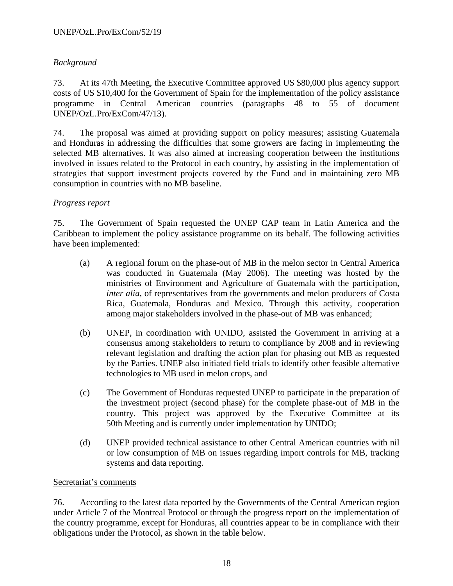# *Background*

73. At its 47th Meeting, the Executive Committee approved US \$80,000 plus agency support costs of US \$10,400 for the Government of Spain for the implementation of the policy assistance programme in Central American countries (paragraphs 48 to 55 of document UNEP/OzL.Pro/ExCom/47/13).

74. The proposal was aimed at providing support on policy measures; assisting Guatemala and Honduras in addressing the difficulties that some growers are facing in implementing the selected MB alternatives. It was also aimed at increasing cooperation between the institutions involved in issues related to the Protocol in each country, by assisting in the implementation of strategies that support investment projects covered by the Fund and in maintaining zero MB consumption in countries with no MB baseline.

### *Progress report*

75. The Government of Spain requested the UNEP CAP team in Latin America and the Caribbean to implement the policy assistance programme on its behalf. The following activities have been implemented:

- (a) A regional forum on the phase-out of MB in the melon sector in Central America was conducted in Guatemala (May 2006). The meeting was hosted by the ministries of Environment and Agriculture of Guatemala with the participation, *inter alia*, of representatives from the governments and melon producers of Costa Rica, Guatemala, Honduras and Mexico. Through this activity, cooperation among major stakeholders involved in the phase-out of MB was enhanced;
- (b) UNEP, in coordination with UNIDO, assisted the Government in arriving at a consensus among stakeholders to return to compliance by 2008 and in reviewing relevant legislation and drafting the action plan for phasing out MB as requested by the Parties. UNEP also initiated field trials to identify other feasible alternative technologies to MB used in melon crops, and
- (c) The Government of Honduras requested UNEP to participate in the preparation of the investment project (second phase) for the complete phase-out of MB in the country. This project was approved by the Executive Committee at its 50th Meeting and is currently under implementation by UNIDO;
- (d) UNEP provided technical assistance to other Central American countries with nil or low consumption of MB on issues regarding import controls for MB, tracking systems and data reporting.

#### Secretariat's comments

76. According to the latest data reported by the Governments of the Central American region under Article 7 of the Montreal Protocol or through the progress report on the implementation of the country programme, except for Honduras, all countries appear to be in compliance with their obligations under the Protocol, as shown in the table below.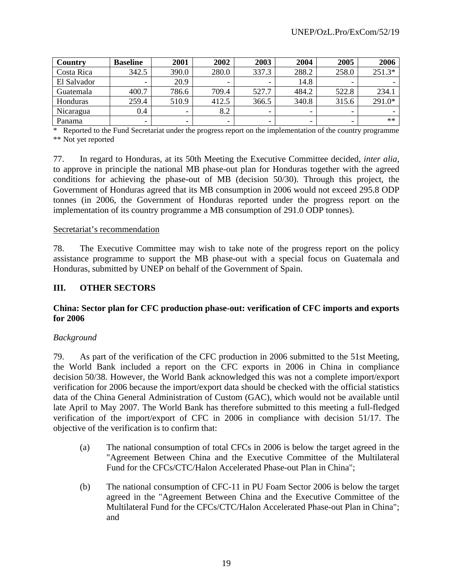| Country     | <b>Baseline</b>          | 2001  | 2002  | 2003  | 2004  | 2005  | 2006   |
|-------------|--------------------------|-------|-------|-------|-------|-------|--------|
| Costa Rica  | 342.5                    | 390.0 | 280.0 | 337.3 | 288.2 | 258.0 | 251.3* |
| El Salvador | -                        | 20.9  |       |       | 14.8  | ۰     |        |
| Guatemala   | 400.7                    | 786.6 | 709.4 | 527.7 | 484.2 | 522.8 | 234.1  |
| Honduras    | 259.4                    | 510.9 | 412.5 | 366.5 | 340.8 | 315.6 | 291.0* |
| Nicaragua   | 0.4                      | -     | 8.2   |       |       | -     |        |
| Panama      | $\overline{\phantom{0}}$ | -     |       |       |       | -     | $**$   |

\* Reported to the Fund Secretariat under the progress report on the implementation of the country programme \*\* Not yet reported

77. In regard to Honduras, at its 50th Meeting the Executive Committee decided, *inter alia,* to approve in principle the national MB phase-out plan for Honduras together with the agreed conditions for achieving the phase-out of MB (decision 50/30). Through this project, the Government of Honduras agreed that its MB consumption in 2006 would not exceed 295.8 ODP tonnes (in 2006, the Government of Honduras reported under the progress report on the implementation of its country programme a MB consumption of 291.0 ODP tonnes).

#### Secretariat's recommendation

78. The Executive Committee may wish to take note of the progress report on the policy assistance programme to support the MB phase-out with a special focus on Guatemala and Honduras, submitted by UNEP on behalf of the Government of Spain.

### **III. OTHER SECTORS**

#### **China: Sector plan for CFC production phase-out: verification of CFC imports and exports for 2006**

#### *Background*

79. As part of the verification of the CFC production in 2006 submitted to the 51st Meeting, the World Bank included a report on the CFC exports in 2006 in China in compliance decision 50/38. However, the World Bank acknowledged this was not a complete import/export verification for 2006 because the import/export data should be checked with the official statistics data of the China General Administration of Custom (GAC), which would not be available until late April to May 2007. The World Bank has therefore submitted to this meeting a full-fledged verification of the import/export of CFC in 2006 in compliance with decision 51/17. The objective of the verification is to confirm that:

- (a) The national consumption of total CFCs in 2006 is below the target agreed in the "Agreement Between China and the Executive Committee of the Multilateral Fund for the CFCs/CTC/Halon Accelerated Phase-out Plan in China";
- (b) The national consumption of CFC-11 in PU Foam Sector 2006 is below the target agreed in the "Agreement Between China and the Executive Committee of the Multilateral Fund for the CFCs/CTC/Halon Accelerated Phase-out Plan in China"; and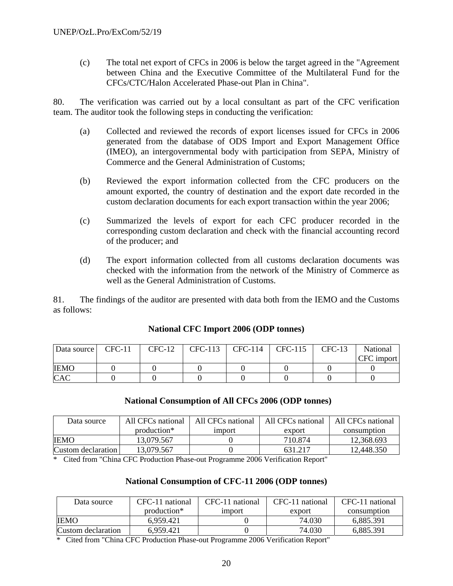(c) The total net export of CFCs in 2006 is below the target agreed in the "Agreement between China and the Executive Committee of the Multilateral Fund for the CFCs/CTC/Halon Accelerated Phase-out Plan in China".

80. The verification was carried out by a local consultant as part of the CFC verification team. The auditor took the following steps in conducting the verification:

- (a) Collected and reviewed the records of export licenses issued for CFCs in 2006 generated from the database of ODS Import and Export Management Office (IMEO), an intergovernmental body with participation from SEPA, Ministry of Commerce and the General Administration of Customs;
- (b) Reviewed the export information collected from the CFC producers on the amount exported, the country of destination and the export date recorded in the custom declaration documents for each export transaction within the year 2006;
- (c) Summarized the levels of export for each CFC producer recorded in the corresponding custom declaration and check with the financial accounting record of the producer; and
- (d) The export information collected from all customs declaration documents was checked with the information from the network of the Ministry of Commerce as well as the General Administration of Customs.

81. The findings of the auditor are presented with data both from the IEMO and the Customs as follows:

| Data source | $CFC-11$ | $CFC-12$ | CFC-113 | CFC-114 | CFC-115 | $CFC-13$ | National   |
|-------------|----------|----------|---------|---------|---------|----------|------------|
|             |          |          |         |         |         |          | CFC import |
| <b>IEMO</b> |          |          |         |         |         |          |            |
| <b>CAC</b>  |          |          |         |         |         |          |            |

## **National CFC Import 2006 (ODP tonnes)**

#### **National Consumption of All CFCs 2006 (ODP tonnes)**

| Data source        | All CFCs national | All CFCs national | All CFCs national | All CFCs national |
|--------------------|-------------------|-------------------|-------------------|-------------------|
|                    | production*       | <i>s</i> import   | export            | consumption       |
| <b>IEMO</b>        | 13.079.567        |                   | 710.874           | 12,368.693        |
| Custom declaration | 13.079.567        |                   | 631.217           | 12,448.350        |

\* Cited from "China CFC Production Phase-out Programme 2006 Verification Report"

#### **National Consumption of CFC-11 2006 (ODP tonnes)**

| Data source        | CFC-11 national | CFC-11 national | CFC-11 national | CFC-11 national |  |
|--------------------|-----------------|-----------------|-----------------|-----------------|--|
|                    | production*     | <i>s import</i> | export          | consumption     |  |
| <b>IEMO</b>        | 6.959.421       |                 | 74.030          | 6.885.391       |  |
| Custom declaration | 6.959.421       |                 | 74.030          | 6,885.391       |  |

\* Cited from "China CFC Production Phase-out Programme 2006 Verification Report"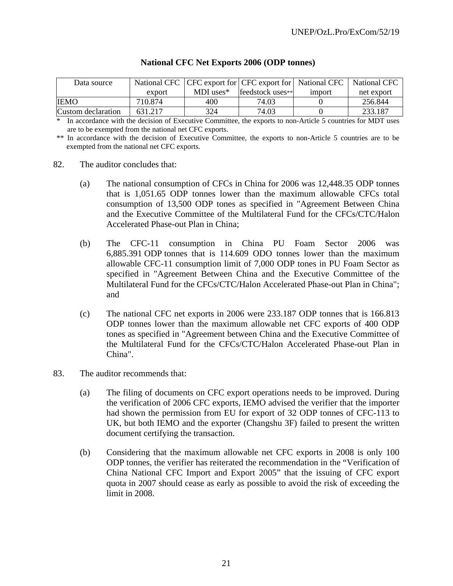| Data source        |         | National CFC   CFC export for   CFC export for   National CFC |                  |                 | National CFC |
|--------------------|---------|---------------------------------------------------------------|------------------|-----------------|--------------|
|                    | export  | MDI uses $*$                                                  | feedstock uses** | <i>s import</i> | net export   |
| <b>IIEMO</b>       | 710.874 | 400                                                           | 74.03            |                 | 256.844      |
| Custom declaration | 631.217 | 324                                                           | 74.03            |                 | 233.187      |

### **National CFC Net Exports 2006 (ODP tonnes)**

In accordance with the decision of Executive Committee, the exports to non-Article 5 countries for MDT uses are to be exempted from the national net CFC exports.

\*\* In accordance with the decision of Executive Committee, the exports to non-Article 5 countries are to be exempted from the national net CFC exports.

- 82. The auditor concludes that:
	- (a) The national consumption of CFCs in China for 2006 was 12,448.35 ODP tonnes that is 1,051.65 ODP tonnes lower than the maximum allowable CFCs total consumption of 13,500 ODP tones as specified in "Agreement Between China and the Executive Committee of the Multilateral Fund for the CFCs/CTC/Halon Accelerated Phase-out Plan in China;
	- (b) The CFC-11 consumption in China PU Foam Sector 2006 was 6,885.391 ODP tonnes that is 114.609 ODO tonnes lower than the maximum allowable CFC-11 consumption limit of 7,000 ODP tones in PU Foam Sector as specified in "Agreement Between China and the Executive Committee of the Multilateral Fund for the CFCs/CTC/Halon Accelerated Phase-out Plan in China"; and
	- (c) The national CFC net exports in 2006 were 233.187 ODP tonnes that is 166.813 ODP tonnes lower than the maximum allowable net CFC exports of 400 ODP tones as specified in "Agreement between China and the Executive Committee of the Multilateral Fund for the CFCs/CTC/Halon Accelerated Phase-out Plan in China".
- 83. The auditor recommends that:
	- (a) The filing of documents on CFC export operations needs to be improved. During the verification of 2006 CFC exports, IEMO advised the verifier that the importer had shown the permission from EU for export of 32 ODP tonnes of CFC-113 to UK, but both IEMO and the exporter (Changshu 3F) failed to present the written document certifying the transaction.
	- (b) Considering that the maximum allowable net CFC exports in 2008 is only 100 ODP tonnes, the verifier has reiterated the recommendation in the "Verification of China National CFC Import and Export 2005" that the issuing of CFC export quota in 2007 should cease as early as possible to avoid the risk of exceeding the limit in 2008.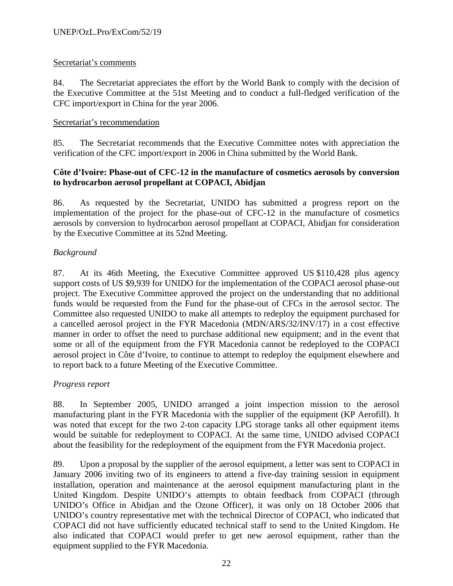### Secretariat's comments

84. The Secretariat appreciates the effort by the World Bank to comply with the decision of the Executive Committee at the 51st Meeting and to conduct a full-fledged verification of the CFC import/export in China for the year 2006.

#### Secretariat's recommendation

85. The Secretariat recommends that the Executive Committee notes with appreciation the verification of the CFC import/export in 2006 in China submitted by the World Bank.

### **Côte d'Ivoire: Phase-out of CFC-12 in the manufacture of cosmetics aerosols by conversion to hydrocarbon aerosol propellant at COPACI, Abidjan**

86. As requested by the Secretariat, UNIDO has submitted a progress report on the implementation of the project for the phase-out of CFC-12 in the manufacture of cosmetics aerosols by conversion to hydrocarbon aerosol propellant at COPACI, Abidjan for consideration by the Executive Committee at its 52nd Meeting.

### *Background*

87. At its 46th Meeting, the Executive Committee approved US \$110,428 plus agency support costs of US \$9,939 for UNIDO for the implementation of the COPACI aerosol phase-out project. The Executive Committee approved the project on the understanding that no additional funds would be requested from the Fund for the phase-out of CFCs in the aerosol sector. The Committee also requested UNIDO to make all attempts to redeploy the equipment purchased for a cancelled aerosol project in the FYR Macedonia (MDN/ARS/32/INV/17) in a cost effective manner in order to offset the need to purchase additional new equipment; and in the event that some or all of the equipment from the FYR Macedonia cannot be redeployed to the COPACI aerosol project in Côte d'Ivoire, to continue to attempt to redeploy the equipment elsewhere and to report back to a future Meeting of the Executive Committee.

## *Progress report*

88. In September 2005, UNIDO arranged a joint inspection mission to the aerosol manufacturing plant in the FYR Macedonia with the supplier of the equipment (KP Aerofill). It was noted that except for the two 2-ton capacity LPG storage tanks all other equipment items would be suitable for redeployment to COPACI. At the same time, UNIDO advised COPACI about the feasibility for the redeployment of the equipment from the FYR Macedonia project.

89. Upon a proposal by the supplier of the aerosol equipment, a letter was sent to COPACI in January 2006 inviting two of its engineers to attend a five-day training session in equipment installation, operation and maintenance at the aerosol equipment manufacturing plant in the United Kingdom. Despite UNIDO's attempts to obtain feedback from COPACI (through UNIDO's Office in Abidjan and the Ozone Officer), it was only on 18 October 2006 that UNIDO's country representative met with the technical Director of COPACI, who indicated that COPACI did not have sufficiently educated technical staff to send to the United Kingdom. He also indicated that COPACI would prefer to get new aerosol equipment, rather than the equipment supplied to the FYR Macedonia.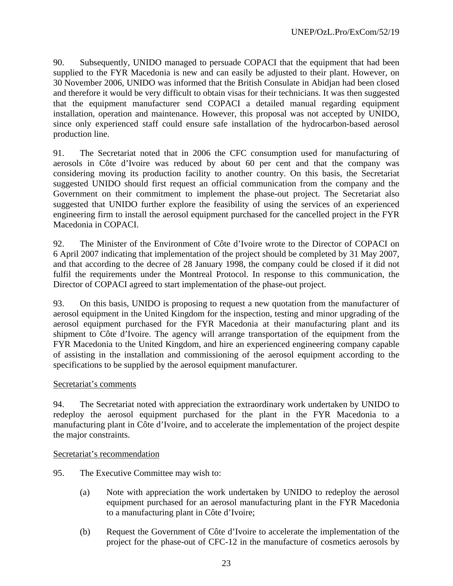90. Subsequently, UNIDO managed to persuade COPACI that the equipment that had been supplied to the FYR Macedonia is new and can easily be adjusted to their plant. However, on 30 November 2006, UNIDO was informed that the British Consulate in Abidjan had been closed and therefore it would be very difficult to obtain visas for their technicians. It was then suggested that the equipment manufacturer send COPACI a detailed manual regarding equipment installation, operation and maintenance. However, this proposal was not accepted by UNIDO, since only experienced staff could ensure safe installation of the hydrocarbon-based aerosol production line.

91. The Secretariat noted that in 2006 the CFC consumption used for manufacturing of aerosols in Côte d'Ivoire was reduced by about 60 per cent and that the company was considering moving its production facility to another country. On this basis, the Secretariat suggested UNIDO should first request an official communication from the company and the Government on their commitment to implement the phase-out project. The Secretariat also suggested that UNIDO further explore the feasibility of using the services of an experienced engineering firm to install the aerosol equipment purchased for the cancelled project in the FYR Macedonia in COPACI.

92. The Minister of the Environment of Côte d'Ivoire wrote to the Director of COPACI on 6 April 2007 indicating that implementation of the project should be completed by 31 May 2007, and that according to the decree of 28 January 1998, the company could be closed if it did not fulfil the requirements under the Montreal Protocol. In response to this communication, the Director of COPACI agreed to start implementation of the phase-out project.

93. On this basis, UNIDO is proposing to request a new quotation from the manufacturer of aerosol equipment in the United Kingdom for the inspection, testing and minor upgrading of the aerosol equipment purchased for the FYR Macedonia at their manufacturing plant and its shipment to Côte d'Ivoire. The agency will arrange transportation of the equipment from the FYR Macedonia to the United Kingdom, and hire an experienced engineering company capable of assisting in the installation and commissioning of the aerosol equipment according to the specifications to be supplied by the aerosol equipment manufacturer.

#### Secretariat's comments

94. The Secretariat noted with appreciation the extraordinary work undertaken by UNIDO to redeploy the aerosol equipment purchased for the plant in the FYR Macedonia to a manufacturing plant in Côte d'Ivoire, and to accelerate the implementation of the project despite the major constraints.

#### Secretariat's recommendation

- 95. The Executive Committee may wish to:
	- (a) Note with appreciation the work undertaken by UNIDO to redeploy the aerosol equipment purchased for an aerosol manufacturing plant in the FYR Macedonia to a manufacturing plant in Côte d'Ivoire;
	- (b) Request the Government of Côte d'Ivoire to accelerate the implementation of the project for the phase-out of CFC-12 in the manufacture of cosmetics aerosols by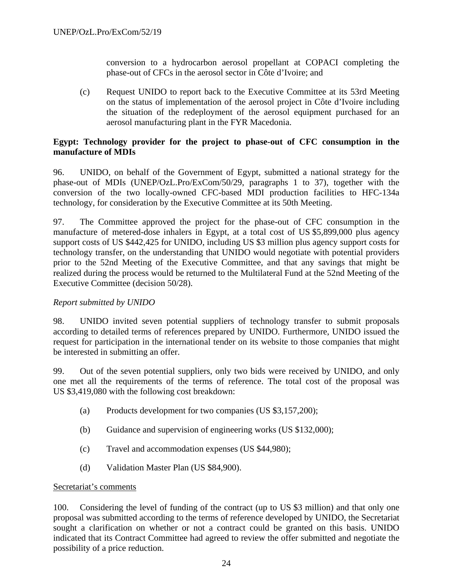conversion to a hydrocarbon aerosol propellant at COPACI completing the phase-out of CFCs in the aerosol sector in Côte d'Ivoire; and

(c) Request UNIDO to report back to the Executive Committee at its 53rd Meeting on the status of implementation of the aerosol project in Côte d'Ivoire including the situation of the redeployment of the aerosol equipment purchased for an aerosol manufacturing plant in the FYR Macedonia.

## **Egypt: Technology provider for the project to phase-out of CFC consumption in the manufacture of MDIs**

96. UNIDO, on behalf of the Government of Egypt, submitted a national strategy for the phase-out of MDIs (UNEP/OzL.Pro/ExCom/50/29, paragraphs 1 to 37), together with the conversion of the two locally-owned CFC-based MDI production facilities to HFC-134a technology, for consideration by the Executive Committee at its 50th Meeting.

97. The Committee approved the project for the phase-out of CFC consumption in the manufacture of metered-dose inhalers in Egypt, at a total cost of US \$5,899,000 plus agency support costs of US \$442,425 for UNIDO, including US \$3 million plus agency support costs for technology transfer, on the understanding that UNIDO would negotiate with potential providers prior to the 52nd Meeting of the Executive Committee, and that any savings that might be realized during the process would be returned to the Multilateral Fund at the 52nd Meeting of the Executive Committee (decision 50/28).

## *Report submitted by UNIDO*

98. UNIDO invited seven potential suppliers of technology transfer to submit proposals according to detailed terms of references prepared by UNIDO. Furthermore, UNIDO issued the request for participation in the international tender on its website to those companies that might be interested in submitting an offer.

99. Out of the seven potential suppliers, only two bids were received by UNIDO, and only one met all the requirements of the terms of reference. The total cost of the proposal was US \$3,419,080 with the following cost breakdown:

- (a) Products development for two companies (US \$3,157,200);
- (b) Guidance and supervision of engineering works (US \$132,000);
- (c) Travel and accommodation expenses (US \$44,980);
- (d) Validation Master Plan (US \$84,900).

## Secretariat's comments

100. Considering the level of funding of the contract (up to US \$3 million) and that only one proposal was submitted according to the terms of reference developed by UNIDO, the Secretariat sought a clarification on whether or not a contract could be granted on this basis. UNIDO indicated that its Contract Committee had agreed to review the offer submitted and negotiate the possibility of a price reduction.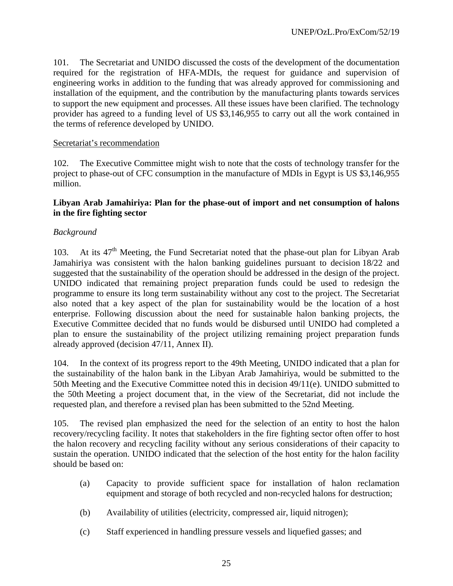101. The Secretariat and UNIDO discussed the costs of the development of the documentation required for the registration of HFA-MDIs, the request for guidance and supervision of engineering works in addition to the funding that was already approved for commissioning and installation of the equipment, and the contribution by the manufacturing plants towards services to support the new equipment and processes. All these issues have been clarified. The technology provider has agreed to a funding level of US \$3,146,955 to carry out all the work contained in the terms of reference developed by UNIDO.

#### Secretariat's recommendation

102. The Executive Committee might wish to note that the costs of technology transfer for the project to phase-out of CFC consumption in the manufacture of MDIs in Egypt is US \$3,146,955 million.

#### **Libyan Arab Jamahiriya: Plan for the phase-out of import and net consumption of halons in the fire fighting sector**

#### *Background*

103. At its  $47<sup>th</sup>$  Meeting, the Fund Secretariat noted that the phase-out plan for Libyan Arab Jamahiriya was consistent with the halon banking guidelines pursuant to decision 18/22 and suggested that the sustainability of the operation should be addressed in the design of the project. UNIDO indicated that remaining project preparation funds could be used to redesign the programme to ensure its long term sustainability without any cost to the project. The Secretariat also noted that a key aspect of the plan for sustainability would be the location of a host enterprise. Following discussion about the need for sustainable halon banking projects, the Executive Committee decided that no funds would be disbursed until UNIDO had completed a plan to ensure the sustainability of the project utilizing remaining project preparation funds already approved (decision 47/11, Annex II).

104. In the context of its progress report to the 49th Meeting, UNIDO indicated that a plan for the sustainability of the halon bank in the Libyan Arab Jamahiriya, would be submitted to the 50th Meeting and the Executive Committee noted this in decision 49/11(e). UNIDO submitted to the 50th Meeting a project document that, in the view of the Secretariat, did not include the requested plan, and therefore a revised plan has been submitted to the 52nd Meeting.

105. The revised plan emphasized the need for the selection of an entity to host the halon recovery/recycling facility. It notes that stakeholders in the fire fighting sector often offer to host the halon recovery and recycling facility without any serious considerations of their capacity to sustain the operation. UNIDO indicated that the selection of the host entity for the halon facility should be based on:

- (a) Capacity to provide sufficient space for installation of halon reclamation equipment and storage of both recycled and non-recycled halons for destruction;
- (b) Availability of utilities (electricity, compressed air, liquid nitrogen);
- (c) Staff experienced in handling pressure vessels and liquefied gasses; and